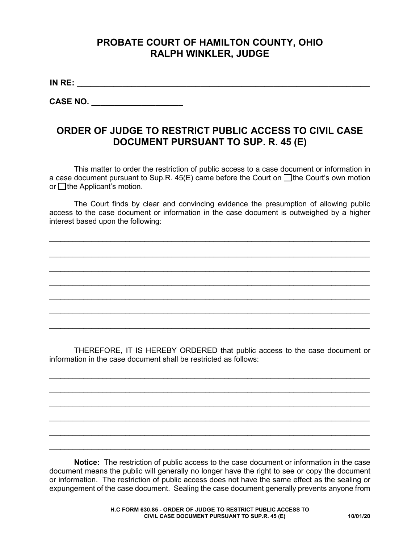## **PROBATE COURT OF HAMILTON COUNTY, OHIO RALPH WINKLER, JUDGE**

**IN RE: \_\_\_\_\_\_\_\_\_\_\_\_\_\_\_\_\_\_\_\_\_\_\_\_\_\_\_\_\_\_\_\_\_\_\_\_\_\_\_\_\_\_\_\_\_\_\_\_\_\_\_\_\_\_\_\_\_\_\_\_\_\_\_\_**

**CASE NO.**  $\blacksquare$ 

## **ORDER OF JUDGE TO RESTRICT PUBLIC ACCESS TO CIVIL CASE DOCUMENT PURSUANT TO SUP. R. 45 (E)**

This matter to order the restriction of public access to a case document or information in a case document pursuant to Sup.R.  $45(E)$  came before the Court on  $\Box$  the Court's own motion or  $\Box$  the Applicant's motion.

The Court finds by clear and convincing evidence the presumption of allowing public access to the case document or information in the case document is outweighed by a higher interest based upon the following:

\_\_\_\_\_\_\_\_\_\_\_\_\_\_\_\_\_\_\_\_\_\_\_\_\_\_\_\_\_\_\_\_\_\_\_\_\_\_\_\_\_\_\_\_\_\_\_\_\_\_\_\_\_\_\_\_\_\_\_\_\_\_\_\_\_\_\_\_\_\_\_\_\_\_\_\_\_\_\_\_\_\_\_\_

\_\_\_\_\_\_\_\_\_\_\_\_\_\_\_\_\_\_\_\_\_\_\_\_\_\_\_\_\_\_\_\_\_\_\_\_\_\_\_\_\_\_\_\_\_\_\_\_\_\_\_\_\_\_\_\_\_\_\_\_\_\_\_\_\_\_\_\_\_\_\_\_\_\_\_\_\_\_\_\_\_\_\_\_

\_\_\_\_\_\_\_\_\_\_\_\_\_\_\_\_\_\_\_\_\_\_\_\_\_\_\_\_\_\_\_\_\_\_\_\_\_\_\_\_\_\_\_\_\_\_\_\_\_\_\_\_\_\_\_\_\_\_\_\_\_\_\_\_\_\_\_\_\_\_\_\_\_\_\_\_\_\_\_\_\_\_\_\_

\_\_\_\_\_\_\_\_\_\_\_\_\_\_\_\_\_\_\_\_\_\_\_\_\_\_\_\_\_\_\_\_\_\_\_\_\_\_\_\_\_\_\_\_\_\_\_\_\_\_\_\_\_\_\_\_\_\_\_\_\_\_\_\_\_\_\_\_\_\_\_\_\_\_\_\_\_\_\_\_\_\_\_\_

\_\_\_\_\_\_\_\_\_\_\_\_\_\_\_\_\_\_\_\_\_\_\_\_\_\_\_\_\_\_\_\_\_\_\_\_\_\_\_\_\_\_\_\_\_\_\_\_\_\_\_\_\_\_\_\_\_\_\_\_\_\_\_\_\_\_\_\_\_\_\_\_\_\_\_\_\_\_\_\_\_\_\_\_

\_\_\_\_\_\_\_\_\_\_\_\_\_\_\_\_\_\_\_\_\_\_\_\_\_\_\_\_\_\_\_\_\_\_\_\_\_\_\_\_\_\_\_\_\_\_\_\_\_\_\_\_\_\_\_\_\_\_\_\_\_\_\_\_\_\_\_\_\_\_\_\_\_\_\_\_\_\_\_\_\_\_\_\_

\_\_\_\_\_\_\_\_\_\_\_\_\_\_\_\_\_\_\_\_\_\_\_\_\_\_\_\_\_\_\_\_\_\_\_\_\_\_\_\_\_\_\_\_\_\_\_\_\_\_\_\_\_\_\_\_\_\_\_\_\_\_\_\_\_\_\_\_\_\_\_\_\_\_\_\_\_\_\_\_\_\_\_\_

THEREFORE, IT IS HEREBY ORDERED that public access to the case document or information in the case document shall be restricted as follows:

\_\_\_\_\_\_\_\_\_\_\_\_\_\_\_\_\_\_\_\_\_\_\_\_\_\_\_\_\_\_\_\_\_\_\_\_\_\_\_\_\_\_\_\_\_\_\_\_\_\_\_\_\_\_\_\_\_\_\_\_\_\_\_\_\_\_\_\_\_\_\_\_\_\_\_\_\_\_\_\_\_\_\_\_

\_\_\_\_\_\_\_\_\_\_\_\_\_\_\_\_\_\_\_\_\_\_\_\_\_\_\_\_\_\_\_\_\_\_\_\_\_\_\_\_\_\_\_\_\_\_\_\_\_\_\_\_\_\_\_\_\_\_\_\_\_\_\_\_\_\_\_\_\_\_\_\_\_\_\_\_\_\_\_\_\_\_\_\_

\_\_\_\_\_\_\_\_\_\_\_\_\_\_\_\_\_\_\_\_\_\_\_\_\_\_\_\_\_\_\_\_\_\_\_\_\_\_\_\_\_\_\_\_\_\_\_\_\_\_\_\_\_\_\_\_\_\_\_\_\_\_\_\_\_\_\_\_\_\_\_\_\_\_\_\_\_\_\_\_\_\_\_\_

\_\_\_\_\_\_\_\_\_\_\_\_\_\_\_\_\_\_\_\_\_\_\_\_\_\_\_\_\_\_\_\_\_\_\_\_\_\_\_\_\_\_\_\_\_\_\_\_\_\_\_\_\_\_\_\_\_\_\_\_\_\_\_\_\_\_\_\_\_\_\_\_\_\_\_\_\_\_\_\_\_\_\_\_

\_\_\_\_\_\_\_\_\_\_\_\_\_\_\_\_\_\_\_\_\_\_\_\_\_\_\_\_\_\_\_\_\_\_\_\_\_\_\_\_\_\_\_\_\_\_\_\_\_\_\_\_\_\_\_\_\_\_\_\_\_\_\_\_\_\_\_\_\_\_\_\_\_\_\_\_\_\_\_\_\_\_\_\_

\_\_\_\_\_\_\_\_\_\_\_\_\_\_\_\_\_\_\_\_\_\_\_\_\_\_\_\_\_\_\_\_\_\_\_\_\_\_\_\_\_\_\_\_\_\_\_\_\_\_\_\_\_\_\_\_\_\_\_\_\_\_\_\_\_\_\_\_\_\_\_\_\_\_\_\_\_\_\_\_\_\_\_\_

**Notice:** The restriction of public access to the case document or information in the case document means the public will generally no longer have the right to see or copy the document or information. The restriction of public access does not have the same effect as the sealing or expungement of the case document. Sealing the case document generally prevents anyone from